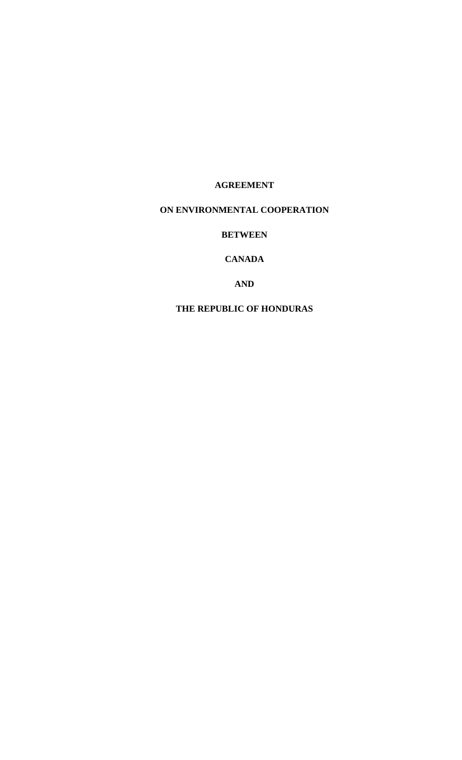# **AGREEMENT**

# **ON ENVIRONMENTAL COOPERATION**

## **BETWEEN**

# **CANADA**

## **AND**

# **THE REPUBLIC OF HONDURAS**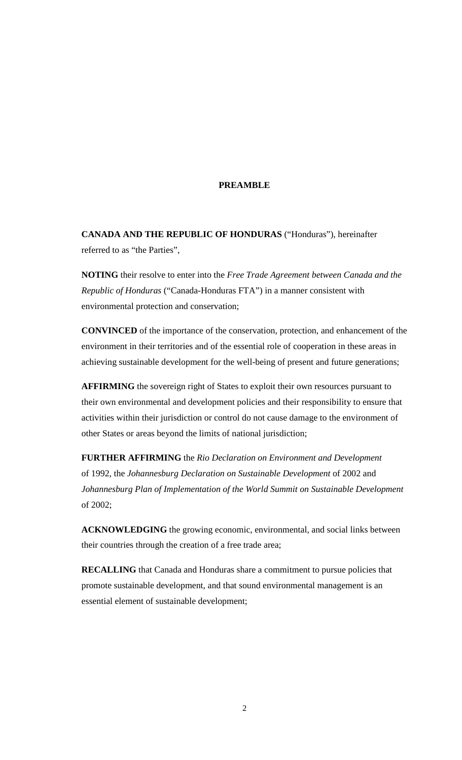#### **PREAMBLE**

**CANADA AND THE REPUBLIC OF HONDURAS** ("Honduras"), hereinafter referred to as "the Parties",

**NOTING** their resolve to enter into the *Free Trade Agreement between Canada and the Republic of Honduras* ("Canada-Honduras FTA") in a manner consistent with environmental protection and conservation;

**CONVINCED** of the importance of the conservation, protection, and enhancement of the environment in their territories and of the essential role of cooperation in these areas in achieving sustainable development for the well-being of present and future generations;

**AFFIRMING** the sovereign right of States to exploit their own resources pursuant to their own environmental and development policies and their responsibility to ensure that activities within their jurisdiction or control do not cause damage to the environment of other States or areas beyond the limits of national jurisdiction;

**FURTHER AFFIRMING** the *Rio Declaration on Environment and Development* of 1992, the *Johannesburg Declaration on Sustainable Development* of 2002 and *Johannesburg Plan of Implementation of the World Summit on Sustainable Development* of 2002;

**ACKNOWLEDGING** the growing economic, environmental, and social links between their countries through the creation of a free trade area;

**RECALLING** that Canada and Honduras share a commitment to pursue policies that promote sustainable development, and that sound environmental management is an essential element of sustainable development;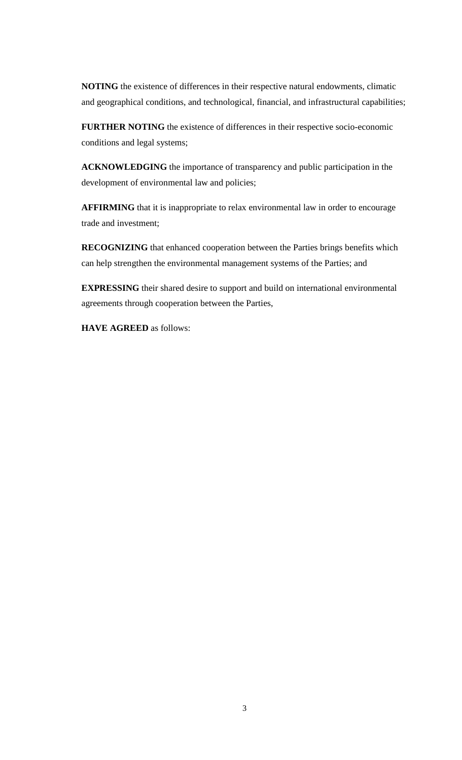**NOTING** the existence of differences in their respective natural endowments, climatic and geographical conditions, and technological, financial, and infrastructural capabilities;

**FURTHER NOTING** the existence of differences in their respective socio-economic conditions and legal systems;

**ACKNOWLEDGING** the importance of transparency and public participation in the development of environmental law and policies;

**AFFIRMING** that it is inappropriate to relax environmental law in order to encourage trade and investment;

**RECOGNIZING** that enhanced cooperation between the Parties brings benefits which can help strengthen the environmental management systems of the Parties; and

**EXPRESSING** their shared desire to support and build on international environmental agreements through cooperation between the Parties,

**HAVE AGREED** as follows: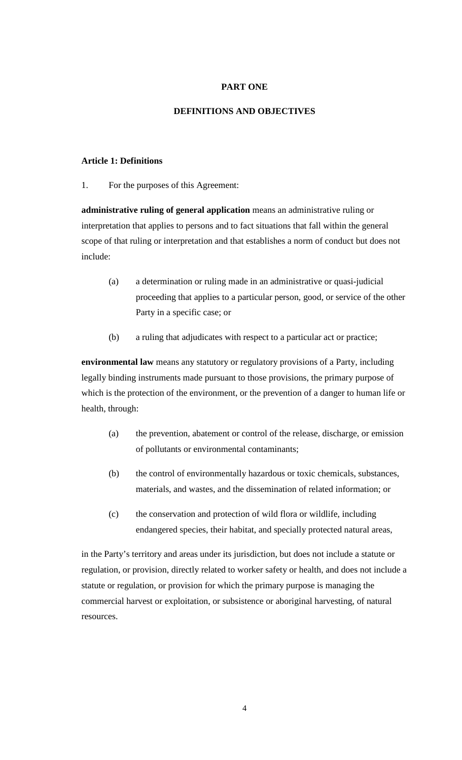## **PART ONE**

#### **DEFINITIONS AND OBJECTIVES**

#### **Article 1: Definitions**

1. For the purposes of this Agreement:

**administrative ruling of general application** means an administrative ruling or interpretation that applies to persons and to fact situations that fall within the general scope of that ruling or interpretation and that establishes a norm of conduct but does not include:

- (a) a determination or ruling made in an administrative or quasi-judicial proceeding that applies to a particular person, good, or service of the other Party in a specific case; or
- (b) a ruling that adjudicates with respect to a particular act or practice;

**environmental law** means any statutory or regulatory provisions of a Party, including legally binding instruments made pursuant to those provisions, the primary purpose of which is the protection of the environment, or the prevention of a danger to human life or health, through:

- (a) the prevention, abatement or control of the release, discharge, or emission of pollutants or environmental contaminants;
- (b) the control of environmentally hazardous or toxic chemicals, substances, materials, and wastes, and the dissemination of related information; or
- (c) the conservation and protection of wild flora or wildlife, including endangered species, their habitat, and specially protected natural areas,

in the Party's territory and areas under its jurisdiction, but does not include a statute or regulation, or provision, directly related to worker safety or health, and does not include a statute or regulation, or provision for which the primary purpose is managing the commercial harvest or exploitation, or subsistence or aboriginal harvesting, of natural resources.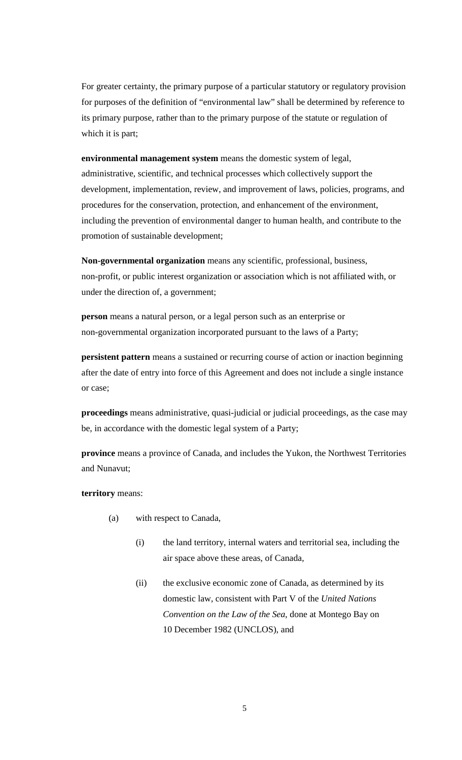For greater certainty, the primary purpose of a particular statutory or regulatory provision for purposes of the definition of "environmental law" shall be determined by reference to its primary purpose, rather than to the primary purpose of the statute or regulation of which it is part;

**environmental management system** means the domestic system of legal, administrative, scientific, and technical processes which collectively support the development, implementation, review, and improvement of laws, policies, programs, and procedures for the conservation, protection, and enhancement of the environment, including the prevention of environmental danger to human health, and contribute to the promotion of sustainable development;

**Non-governmental organization** means any scientific, professional, business, non-profit, or public interest organization or association which is not affiliated with, or under the direction of, a government;

**person** means a natural person, or a legal person such as an enterprise or non-governmental organization incorporated pursuant to the laws of a Party;

**persistent pattern** means a sustained or recurring course of action or inaction beginning after the date of entry into force of this Agreement and does not include a single instance or case;

**proceedings** means administrative, quasi-judicial or judicial proceedings, as the case may be, in accordance with the domestic legal system of a Party;

**province** means a province of Canada, and includes the Yukon, the Northwest Territories and Nunavut;

**territory** means:

- (a) with respect to Canada,
	- (i) the land territory, internal waters and territorial sea, including the air space above these areas, of Canada,
	- (ii) the exclusive economic zone of Canada, as determined by its domestic law, consistent with Part V of the *United Nations Convention on the Law of the Sea*, done at Montego Bay on 10 December 1982 (UNCLOS), and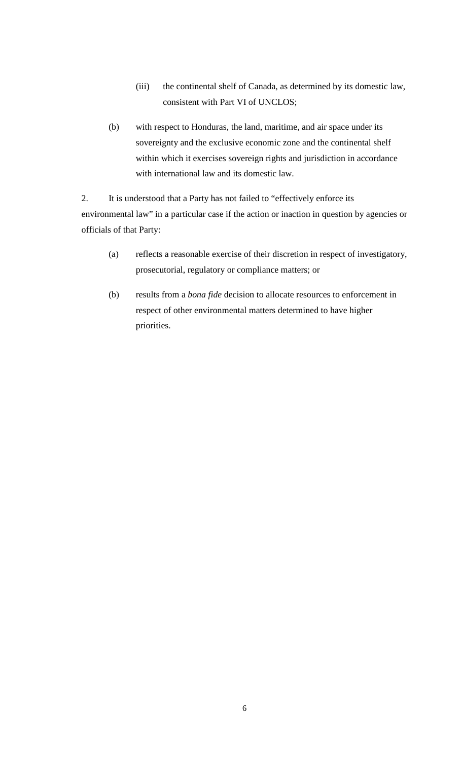- (iii) the continental shelf of Canada, as determined by its domestic law, consistent with Part VI of UNCLOS;
- (b) with respect to Honduras, the land, maritime, and air space under its sovereignty and the exclusive economic zone and the continental shelf within which it exercises sovereign rights and jurisdiction in accordance with international law and its domestic law.

2. It is understood that a Party has not failed to "effectively enforce its environmental law" in a particular case if the action or inaction in question by agencies or officials of that Party:

- (a) reflects a reasonable exercise of their discretion in respect of investigatory, prosecutorial, regulatory or compliance matters; or
- (b) results from a *bona fide* decision to allocate resources to enforcement in respect of other environmental matters determined to have higher priorities.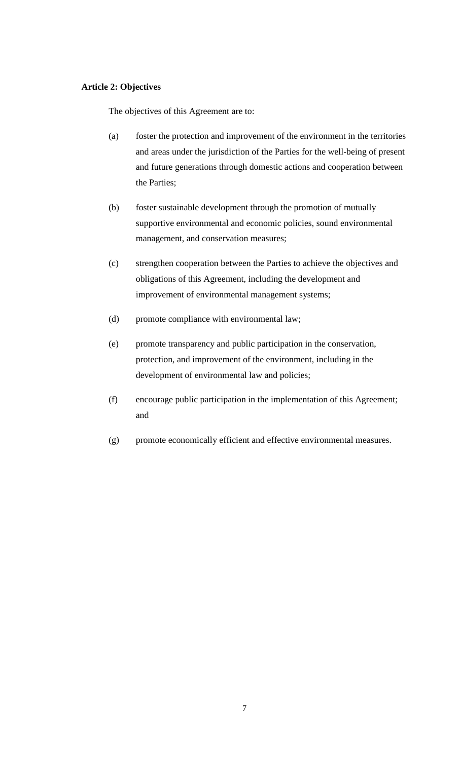#### **Article 2: Objectives**

The objectives of this Agreement are to:

- (a) foster the protection and improvement of the environment in the territories and areas under the jurisdiction of the Parties for the well-being of present and future generations through domestic actions and cooperation between the Parties;
- (b) foster sustainable development through the promotion of mutually supportive environmental and economic policies, sound environmental management, and conservation measures;
- (c) strengthen cooperation between the Parties to achieve the objectives and obligations of this Agreement, including the development and improvement of environmental management systems;
- (d) promote compliance with environmental law;
- (e) promote transparency and public participation in the conservation, protection, and improvement of the environment, including in the development of environmental law and policies;
- (f) encourage public participation in the implementation of this Agreement; and
- (g) promote economically efficient and effective environmental measures.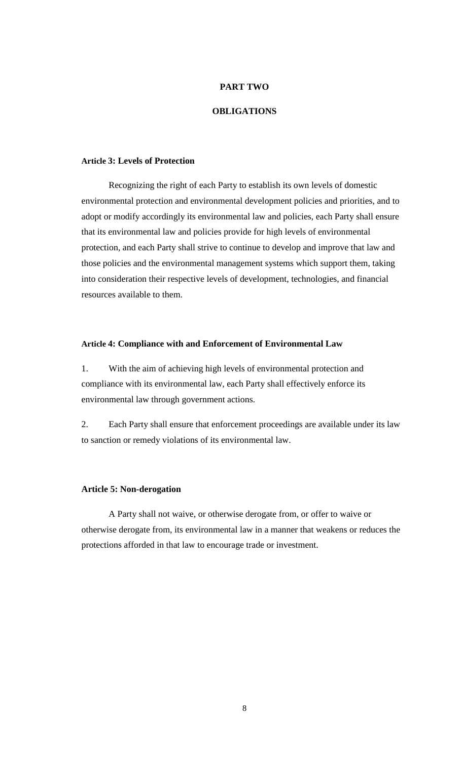#### **PART TWO**

#### **OBLIGATIONS**

#### **Article 3: Levels of Protection**

Recognizing the right of each Party to establish its own levels of domestic environmental protection and environmental development policies and priorities, and to adopt or modify accordingly its environmental law and policies, each Party shall ensure that its environmental law and policies provide for high levels of environmental protection, and each Party shall strive to continue to develop and improve that law and those policies and the environmental management systems which support them, taking into consideration their respective levels of development, technologies, and financial resources available to them.

## **Article 4: Compliance with and Enforcement of Environmental Law**

1. With the aim of achieving high levels of environmental protection and compliance with its environmental law, each Party shall effectively enforce its environmental law through government actions.

2. Each Party shall ensure that enforcement proceedings are available under its law to sanction or remedy violations of its environmental law.

#### **Article 5: Non-derogation**

A Party shall not waive, or otherwise derogate from, or offer to waive or otherwise derogate from, its environmental law in a manner that weakens or reduces the protections afforded in that law to encourage trade or investment.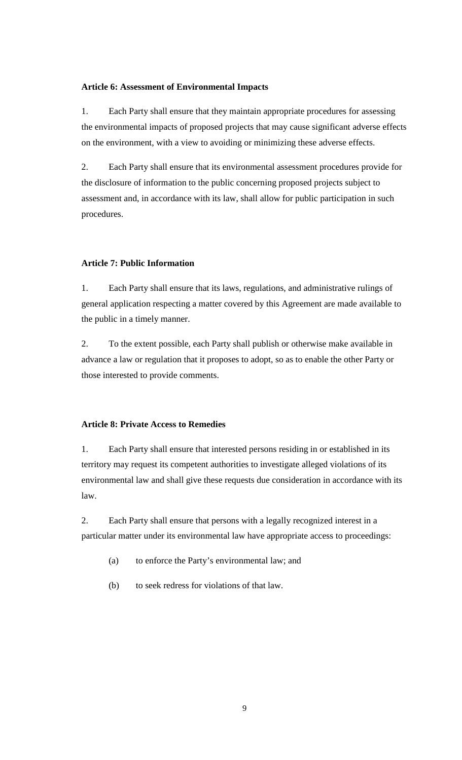#### **Article 6: Assessment of Environmental Impacts**

1. Each Party shall ensure that they maintain appropriate procedures for assessing the environmental impacts of proposed projects that may cause significant adverse effects on the environment, with a view to avoiding or minimizing these adverse effects.

2. Each Party shall ensure that its environmental assessment procedures provide for the disclosure of information to the public concerning proposed projects subject to assessment and, in accordance with its law, shall allow for public participation in such procedures.

# **Article 7: Public Information**

1. Each Party shall ensure that its laws, regulations, and administrative rulings of general application respecting a matter covered by this Agreement are made available to the public in a timely manner.

2. To the extent possible, each Party shall publish or otherwise make available in advance a law or regulation that it proposes to adopt, so as to enable the other Party or those interested to provide comments.

#### **Article 8: Private Access to Remedies**

1. Each Party shall ensure that interested persons residing in or established in its territory may request its competent authorities to investigate alleged violations of its environmental law and shall give these requests due consideration in accordance with its law.

2. Each Party shall ensure that persons with a legally recognized interest in a particular matter under its environmental law have appropriate access to proceedings:

- (a) to enforce the Party's environmental law; and
- (b) to seek redress for violations of that law.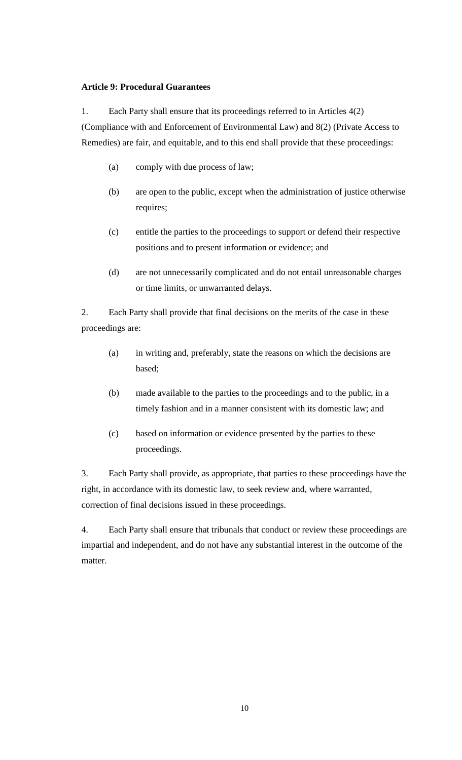## **Article 9: Procedural Guarantees**

1. Each Party shall ensure that its proceedings referred to in Articles 4(2)

(Compliance with and Enforcement of Environmental Law) and 8(2) (Private Access to Remedies) are fair, and equitable, and to this end shall provide that these proceedings:

- (a) comply with due process of law;
- (b) are open to the public, except when the administration of justice otherwise requires;
- (c) entitle the parties to the proceedings to support or defend their respective positions and to present information or evidence; and
- (d) are not unnecessarily complicated and do not entail unreasonable charges or time limits, or unwarranted delays.

2. Each Party shall provide that final decisions on the merits of the case in these proceedings are:

- (a) in writing and, preferably, state the reasons on which the decisions are based;
- (b) made available to the parties to the proceedings and to the public, in a timely fashion and in a manner consistent with its domestic law; and
- (c) based on information or evidence presented by the parties to these proceedings.

3. Each Party shall provide, as appropriate, that parties to these proceedings have the right, in accordance with its domestic law, to seek review and, where warranted, correction of final decisions issued in these proceedings.

4. Each Party shall ensure that tribunals that conduct or review these proceedings are impartial and independent, and do not have any substantial interest in the outcome of the matter.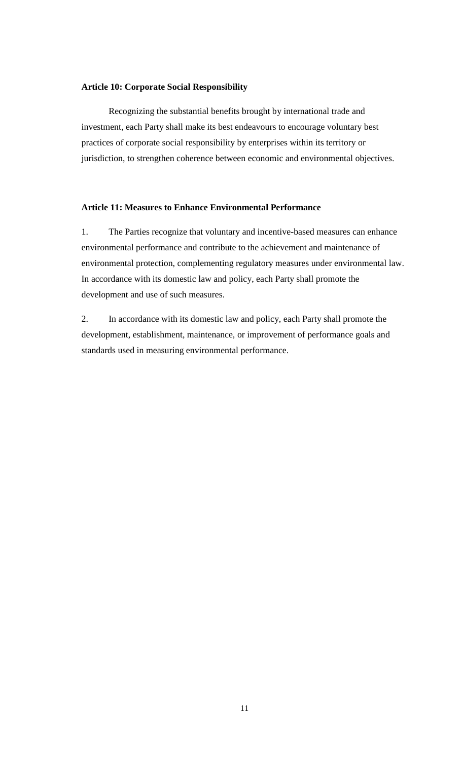#### **Article 10: Corporate Social Responsibility**

Recognizing the substantial benefits brought by international trade and investment, each Party shall make its best endeavours to encourage voluntary best practices of corporate social responsibility by enterprises within its territory or jurisdiction, to strengthen coherence between economic and environmental objectives.

#### **Article 11: Measures to Enhance Environmental Performance**

1. The Parties recognize that voluntary and incentive-based measures can enhance environmental performance and contribute to the achievement and maintenance of environmental protection, complementing regulatory measures under environmental law. In accordance with its domestic law and policy, each Party shall promote the development and use of such measures.

2. In accordance with its domestic law and policy, each Party shall promote the development, establishment, maintenance, or improvement of performance goals and standards used in measuring environmental performance.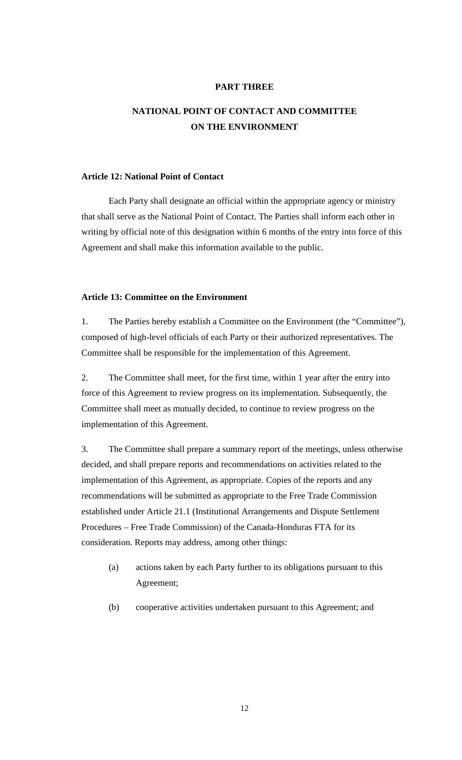## **PART THREE**

# **NATIONAL POINT OF CONTACT AND COMMITTEE ON THE ENVIRONMENT**

#### **Article 12: National Point of Contact**

Each Party shall designate an official within the appropriate agency or ministry that shall serve as the National Point of Contact. The Parties shall inform each other in writing by official note of this designation within 6 months of the entry into force of this Agreement and shall make this information available to the public.

#### **Article 13: Committee on the Environment**

1. The Parties hereby establish a Committee on the Environment (the "Committee"), composed of high-level officials of each Party or their authorized representatives. The Committee shall be responsible for the implementation of this Agreement.

2. The Committee shall meet, for the first time, within 1 year after the entry into force of this Agreement to review progress on its implementation. Subsequently, the Committee shall meet as mutually decided, to continue to review progress on the implementation of this Agreement.

3. The Committee shall prepare a summary report of the meetings, unless otherwise decided, and shall prepare reports and recommendations on activities related to the implementation of this Agreement, as appropriate. Copies of the reports and any recommendations will be submitted as appropriate to the Free Trade Commission established under Article 21.1 (Institutional Arrangements and Dispute Settlement Procedures – Free Trade Commission) of the Canada-Honduras FTA for its consideration. Reports may address, among other things:

- (a) actions taken by each Party further to its obligations pursuant to this Agreement;
- (b) cooperative activities undertaken pursuant to this Agreement; and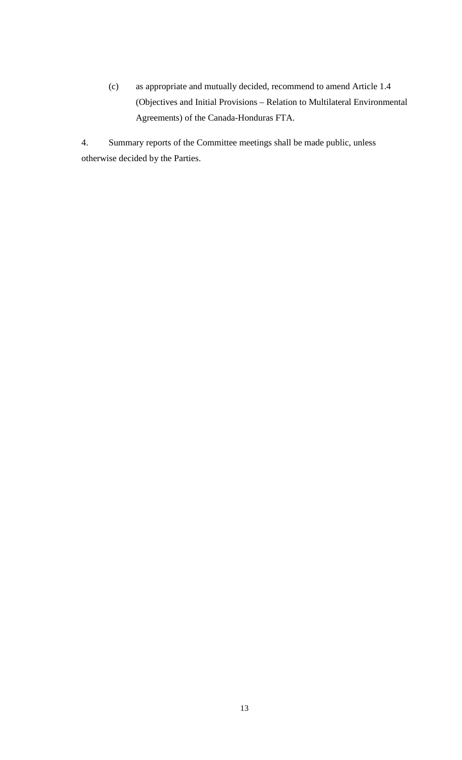(c) as appropriate and mutually decided, recommend to amend Article 1.4 (Objectives and Initial Provisions – Relation to Multilateral Environmental Agreements) of the Canada-Honduras FTA.

4. Summary reports of the Committee meetings shall be made public, unless otherwise decided by the Parties.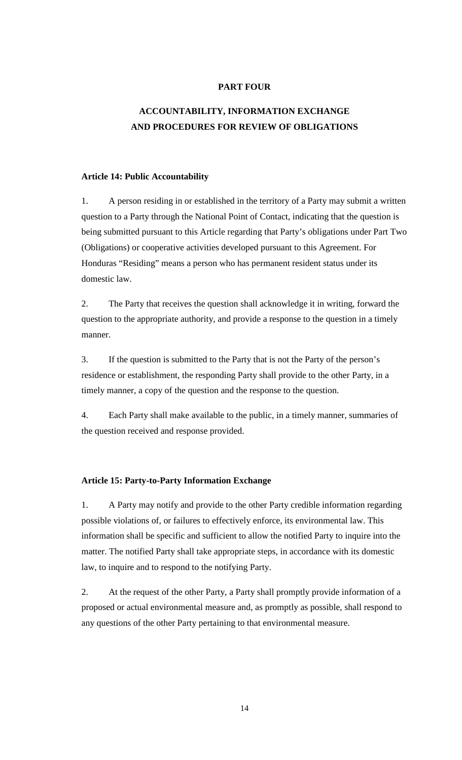# **PART FOUR**

# **ACCOUNTABILITY, INFORMATION EXCHANGE AND PROCEDURES FOR REVIEW OF OBLIGATIONS**

#### **Article 14: Public Accountability**

1. A person residing in or established in the territory of a Party may submit a written question to a Party through the National Point of Contact, indicating that the question is being submitted pursuant to this Article regarding that Party's obligations under Part Two (Obligations) or cooperative activities developed pursuant to this Agreement. For Honduras "Residing" means a person who has permanent resident status under its domestic law.

2. The Party that receives the question shall acknowledge it in writing, forward the question to the appropriate authority, and provide a response to the question in a timely manner.

3. If the question is submitted to the Party that is not the Party of the person's residence or establishment, the responding Party shall provide to the other Party, in a timely manner, a copy of the question and the response to the question.

4. Each Party shall make available to the public, in a timely manner, summaries of the question received and response provided.

#### **Article 15: Party-to-Party Information Exchange**

1. A Party may notify and provide to the other Party credible information regarding possible violations of, or failures to effectively enforce, its environmental law. This information shall be specific and sufficient to allow the notified Party to inquire into the matter. The notified Party shall take appropriate steps, in accordance with its domestic law, to inquire and to respond to the notifying Party.

2. At the request of the other Party, a Party shall promptly provide information of a proposed or actual environmental measure and, as promptly as possible, shall respond to any questions of the other Party pertaining to that environmental measure.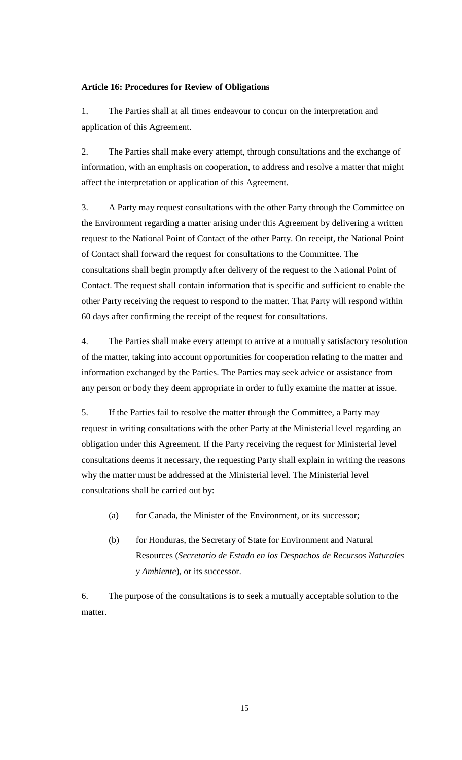#### **Article 16: Procedures for Review of Obligations**

1. The Parties shall at all times endeavour to concur on the interpretation and application of this Agreement.

2. The Parties shall make every attempt, through consultations and the exchange of information, with an emphasis on cooperation, to address and resolve a matter that might affect the interpretation or application of this Agreement.

3. A Party may request consultations with the other Party through the Committee on the Environment regarding a matter arising under this Agreement by delivering a written request to the National Point of Contact of the other Party. On receipt, the National Point of Contact shall forward the request for consultations to the Committee. The consultations shall begin promptly after delivery of the request to the National Point of Contact. The request shall contain information that is specific and sufficient to enable the other Party receiving the request to respond to the matter. That Party will respond within 60 days after confirming the receipt of the request for consultations.

4. The Parties shall make every attempt to arrive at a mutually satisfactory resolution of the matter, taking into account opportunities for cooperation relating to the matter and information exchanged by the Parties. The Parties may seek advice or assistance from any person or body they deem appropriate in order to fully examine the matter at issue.

5. If the Parties fail to resolve the matter through the Committee, a Party may request in writing consultations with the other Party at the Ministerial level regarding an obligation under this Agreement. If the Party receiving the request for Ministerial level consultations deems it necessary, the requesting Party shall explain in writing the reasons why the matter must be addressed at the Ministerial level. The Ministerial level consultations shall be carried out by:

- (a) for Canada, the Minister of the Environment, or its successor;
- (b) for Honduras, the Secretary of State for Environment and Natural Resources (*Secretario de Estado en los Despachos de Recursos Naturales y Ambiente*), or its successor.

6. The purpose of the consultations is to seek a mutually acceptable solution to the matter.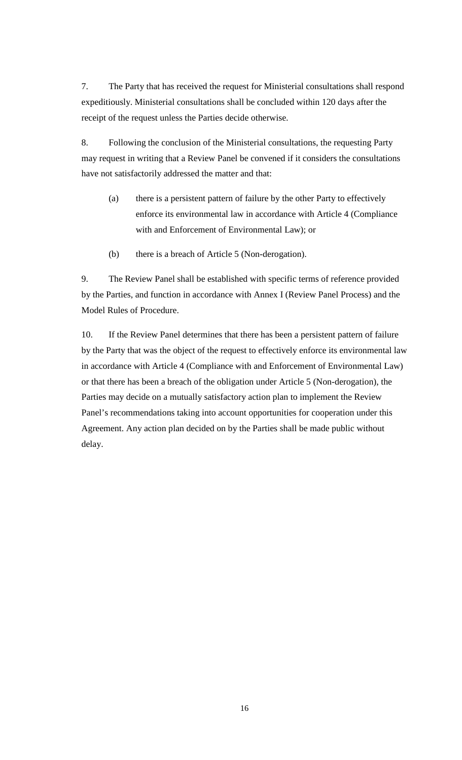7. The Party that has received the request for Ministerial consultations shall respond expeditiously. Ministerial consultations shall be concluded within 120 days after the receipt of the request unless the Parties decide otherwise.

8. Following the conclusion of the Ministerial consultations, the requesting Party may request in writing that a Review Panel be convened if it considers the consultations have not satisfactorily addressed the matter and that:

- (a) there is a persistent pattern of failure by the other Party to effectively enforce its environmental law in accordance with Article 4 (Compliance with and Enforcement of Environmental Law); or
- (b) there is a breach of Article 5 (Non-derogation).

9. The Review Panel shall be established with specific terms of reference provided by the Parties, and function in accordance with Annex I (Review Panel Process) and the Model Rules of Procedure.

10. If the Review Panel determines that there has been a persistent pattern of failure by the Party that was the object of the request to effectively enforce its environmental law in accordance with Article 4 (Compliance with and Enforcement of Environmental Law) or that there has been a breach of the obligation under Article 5 (Non-derogation), the Parties may decide on a mutually satisfactory action plan to implement the Review Panel's recommendations taking into account opportunities for cooperation under this Agreement. Any action plan decided on by the Parties shall be made public without delay.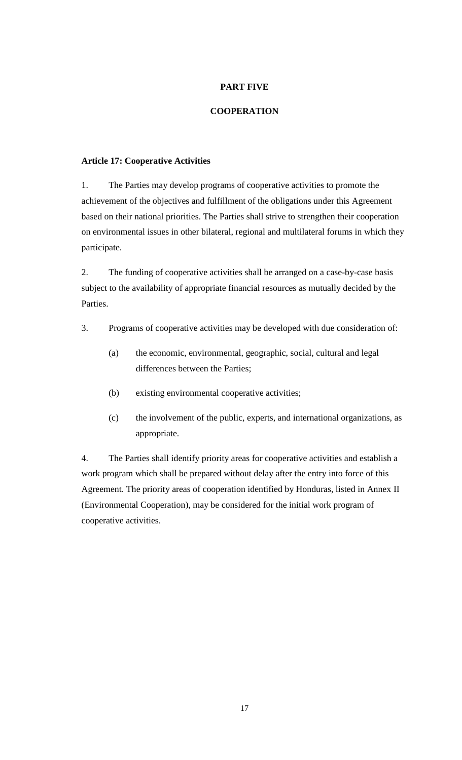# **PART FIVE**

## **COOPERATION**

#### **Article 17: Cooperative Activities**

1. The Parties may develop programs of cooperative activities to promote the achievement of the objectives and fulfillment of the obligations under this Agreement based on their national priorities. The Parties shall strive to strengthen their cooperation on environmental issues in other bilateral, regional and multilateral forums in which they participate.

2. The funding of cooperative activities shall be arranged on a case-by-case basis subject to the availability of appropriate financial resources as mutually decided by the Parties.

- 3. Programs of cooperative activities may be developed with due consideration of:
	- (a) the economic, environmental, geographic, social, cultural and legal differences between the Parties;
	- (b) existing environmental cooperative activities;
	- (c) the involvement of the public, experts, and international organizations, as appropriate.

4. The Parties shall identify priority areas for cooperative activities and establish a work program which shall be prepared without delay after the entry into force of this Agreement. The priority areas of cooperation identified by Honduras, listed in Annex II (Environmental Cooperation), may be considered for the initial work program of cooperative activities.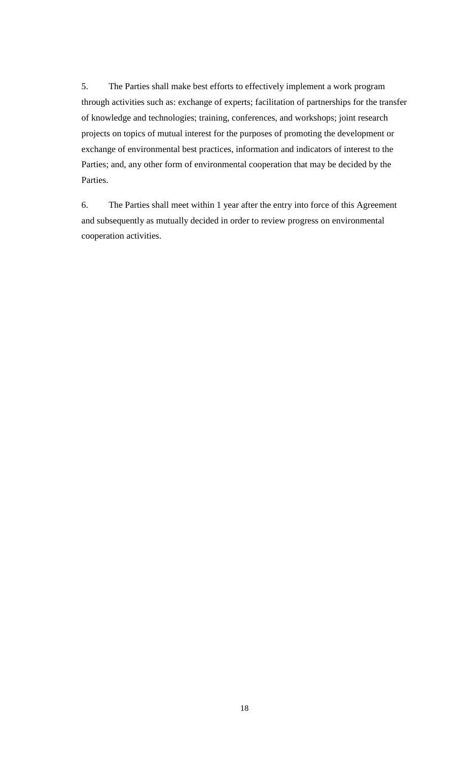5. The Parties shall make best efforts to effectively implement a work program through activities such as: exchange of experts; facilitation of partnerships for the transfer of knowledge and technologies; training, conferences, and workshops; joint research projects on topics of mutual interest for the purposes of promoting the development or exchange of environmental best practices, information and indicators of interest to the Parties; and, any other form of environmental cooperation that may be decided by the Parties.

6. The Parties shall meet within 1 year after the entry into force of this Agreement and subsequently as mutually decided in order to review progress on environmental cooperation activities.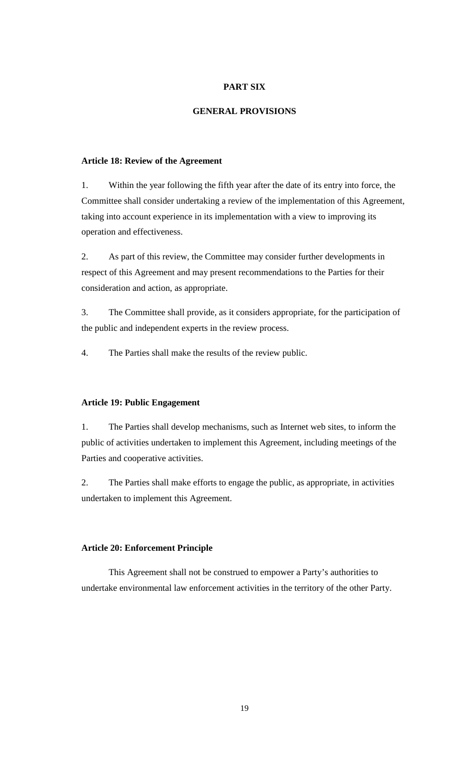## **PART SIX**

#### **GENERAL PROVISIONS**

#### **Article 18: Review of the Agreement**

1. Within the year following the fifth year after the date of its entry into force, the Committee shall consider undertaking a review of the implementation of this Agreement, taking into account experience in its implementation with a view to improving its operation and effectiveness.

2. As part of this review, the Committee may consider further developments in respect of this Agreement and may present recommendations to the Parties for their consideration and action, as appropriate.

3. The Committee shall provide, as it considers appropriate, for the participation of the public and independent experts in the review process.

4. The Parties shall make the results of the review public.

#### **Article 19: Public Engagement**

1. The Parties shall develop mechanisms, such as Internet web sites, to inform the public of activities undertaken to implement this Agreement, including meetings of the Parties and cooperative activities.

2. The Parties shall make efforts to engage the public, as appropriate, in activities undertaken to implement this Agreement.

#### **Article 20: Enforcement Principle**

This Agreement shall not be construed to empower a Party's authorities to undertake environmental law enforcement activities in the territory of the other Party.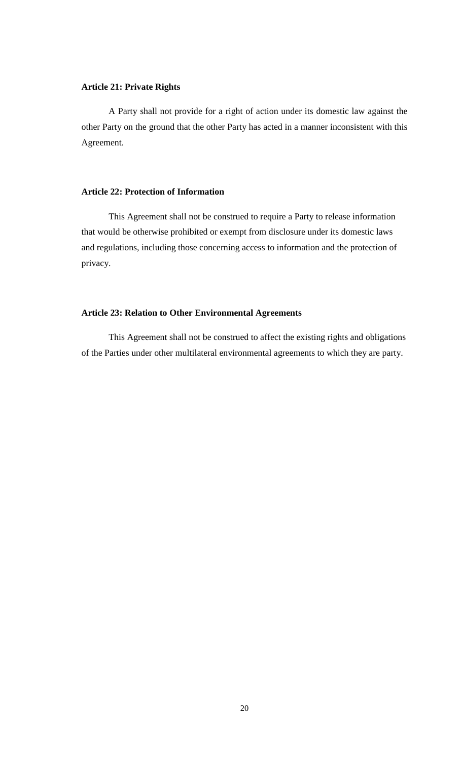# **Article 21: Private Rights**

A Party shall not provide for a right of action under its domestic law against the other Party on the ground that the other Party has acted in a manner inconsistent with this Agreement.

#### **Article 22: Protection of Information**

This Agreement shall not be construed to require a Party to release information that would be otherwise prohibited or exempt from disclosure under its domestic laws and regulations, including those concerning access to information and the protection of privacy.

#### **Article 23: Relation to Other Environmental Agreements**

This Agreement shall not be construed to affect the existing rights and obligations of the Parties under other multilateral environmental agreements to which they are party.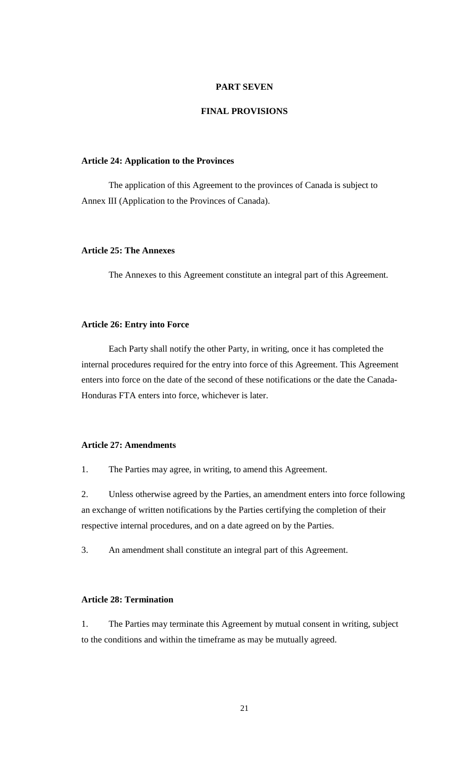## **PART SEVEN**

## **FINAL PROVISIONS**

#### **Article 24: Application to the Provinces**

The application of this Agreement to the provinces of Canada is subject to Annex III (Application to the Provinces of Canada).

#### **Article 25: The Annexes**

The Annexes to this Agreement constitute an integral part of this Agreement.

#### **Article 26: Entry into Force**

Each Party shall notify the other Party, in writing, once it has completed the internal procedures required for the entry into force of this Agreement. This Agreement enters into force on the date of the second of these notifications or the date the Canada-Honduras FTA enters into force, whichever is later.

## **Article 27: Amendments**

1. The Parties may agree, in writing, to amend this Agreement.

2. Unless otherwise agreed by the Parties, an amendment enters into force following an exchange of written notifications by the Parties certifying the completion of their respective internal procedures, and on a date agreed on by the Parties.

3. An amendment shall constitute an integral part of this Agreement.

#### **Article 28: Termination**

1. The Parties may terminate this Agreement by mutual consent in writing, subject to the conditions and within the timeframe as may be mutually agreed.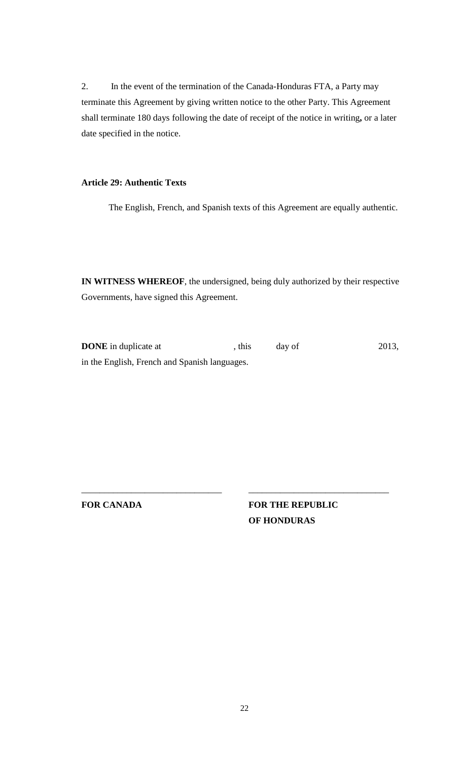2. In the event of the termination of the Canada-Honduras FTA, a Party may terminate this Agreement by giving written notice to the other Party. This Agreement shall terminate 180 days following the date of receipt of the notice in writing**,** or a later date specified in the notice.

#### **Article 29: Authentic Texts**

The English, French, and Spanish texts of this Agreement are equally authentic.

**IN WITNESS WHEREOF**, the undersigned, being duly authorized by their respective Governments, have signed this Agreement.

**DONE** in duplicate at , this day of 2013, in the English, French and Spanish languages.

**FOR CANADA**

\_\_\_\_\_\_\_\_\_\_\_\_\_\_\_\_\_\_\_\_\_\_\_\_\_\_\_\_\_\_\_

**FOR THE REPUBLIC OF HONDURAS**

\_\_\_\_\_\_\_\_\_\_\_\_\_\_\_\_\_\_\_\_\_\_\_\_\_\_\_\_\_\_\_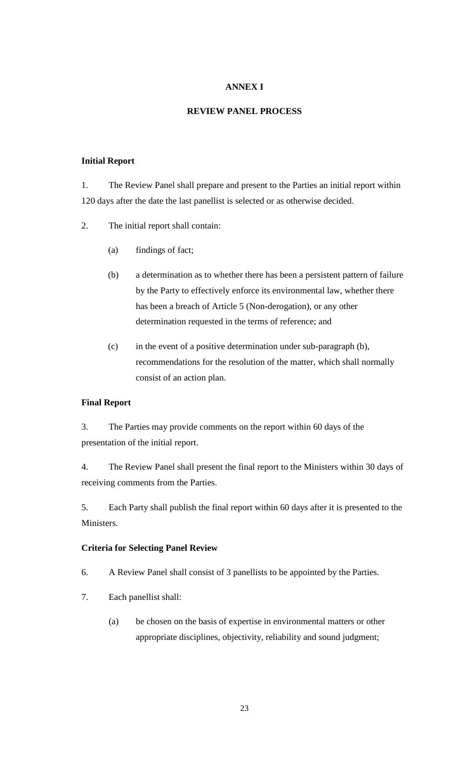# **ANNEX I**

#### **REVIEW PANEL PROCESS**

## **Initial Report**

1. The Review Panel shall prepare and present to the Parties an initial report within 120 days after the date the last panellist is selected or as otherwise decided.

- 2. The initial report shall contain:
	- (a) findings of fact;
	- (b) a determination as to whether there has been a persistent pattern of failure by the Party to effectively enforce its environmental law, whether there has been a breach of Article 5 (Non-derogation), or any other determination requested in the terms of reference; and
	- (c) in the event of a positive determination under sub-paragraph (b), recommendations for the resolution of the matter, which shall normally consist of an action plan.

#### **Final Report**

3. The Parties may provide comments on the report within 60 days of the presentation of the initial report.

4. The Review Panel shall present the final report to the Ministers within 30 days of receiving comments from the Parties.

5. Each Party shall publish the final report within 60 days after it is presented to the Ministers.

# **Criteria for Selecting Panel Review**

- 6. A Review Panel shall consist of 3 panellists to be appointed by the Parties.
- 7. Each panellist shall:
	- (a) be chosen on the basis of expertise in environmental matters or other appropriate disciplines, objectivity, reliability and sound judgment;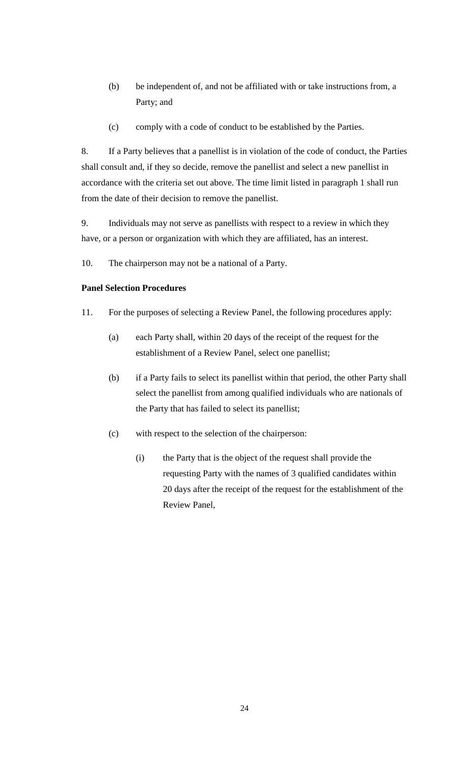- (b) be independent of, and not be affiliated with or take instructions from, a Party; and
- (c) comply with a code of conduct to be established by the Parties.

8. If a Party believes that a panellist is in violation of the code of conduct, the Parties shall consult and, if they so decide, remove the panellist and select a new panellist in accordance with the criteria set out above. The time limit listed in paragraph 1 shall run from the date of their decision to remove the panellist.

9. Individuals may not serve as panellists with respect to a review in which they have, or a person or organization with which they are affiliated, has an interest.

10. The chairperson may not be a national of a Party.

## **Panel Selection Procedures**

- 11. For the purposes of selecting a Review Panel, the following procedures apply:
	- (a) each Party shall, within 20 days of the receipt of the request for the establishment of a Review Panel, select one panellist;
	- (b) if a Party fails to select its panellist within that period, the other Party shall select the panellist from among qualified individuals who are nationals of the Party that has failed to select its panellist;
	- (c) with respect to the selection of the chairperson:
		- (i) the Party that is the object of the request shall provide the requesting Party with the names of 3 qualified candidates within 20 days after the receipt of the request for the establishment of the Review Panel,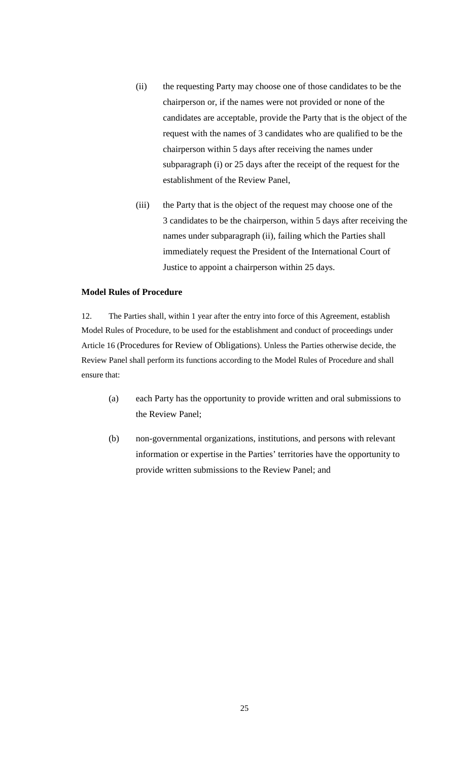- (ii) the requesting Party may choose one of those candidates to be the chairperson or, if the names were not provided or none of the candidates are acceptable, provide the Party that is the object of the request with the names of 3 candidates who are qualified to be the chairperson within 5 days after receiving the names under subparagraph (i) or 25 days after the receipt of the request for the establishment of the Review Panel,
- (iii) the Party that is the object of the request may choose one of the 3 candidates to be the chairperson, within 5 days after receiving the names under subparagraph (ii), failing which the Parties shall immediately request the President of the International Court of Justice to appoint a chairperson within 25 days.

#### **Model Rules of Procedure**

12. The Parties shall, within 1 year after the entry into force of this Agreement, establish Model Rules of Procedure, to be used for the establishment and conduct of proceedings under Article 16 (Procedures for Review of Obligations). Unless the Parties otherwise decide, the Review Panel shall perform its functions according to the Model Rules of Procedure and shall ensure that:

- (a) each Party has the opportunity to provide written and oral submissions to the Review Panel;
- (b) non-governmental organizations, institutions, and persons with relevant information or expertise in the Parties' territories have the opportunity to provide written submissions to the Review Panel; and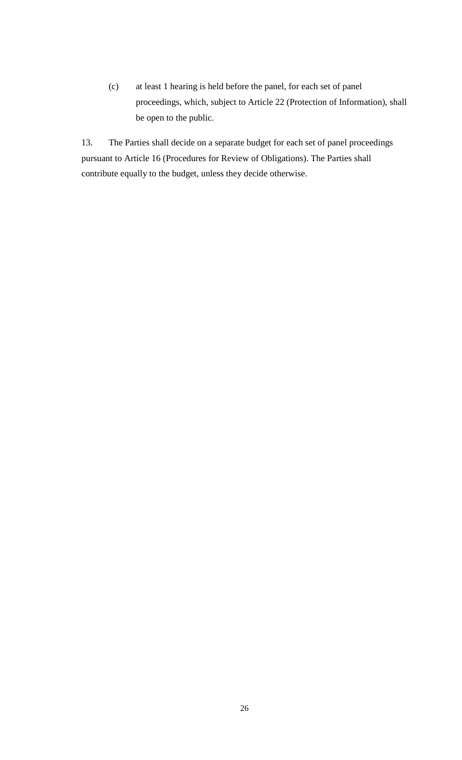(c) at least 1 hearing is held before the panel, for each set of panel proceedings, which, subject to Article 22 (Protection of Information), shall be open to the public.

13. The Parties shall decide on a separate budget for each set of panel proceedings pursuant to Article 16 (Procedures for Review of Obligations). The Parties shall contribute equally to the budget, unless they decide otherwise.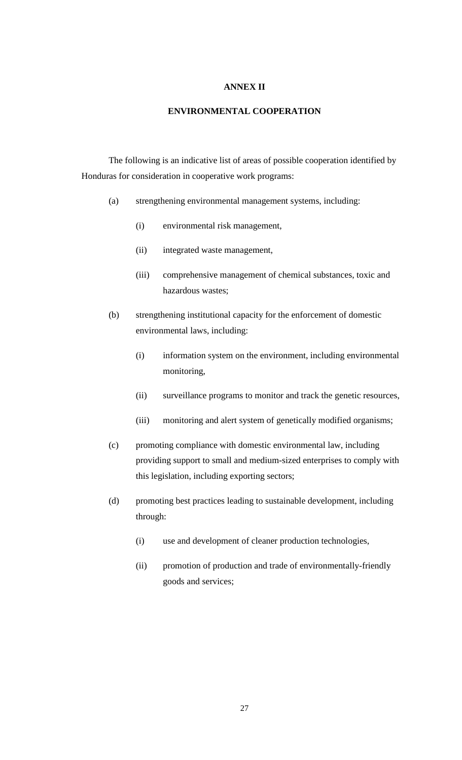# **ANNEX II**

#### **ENVIRONMENTAL COOPERATION**

The following is an indicative list of areas of possible cooperation identified by Honduras for consideration in cooperative work programs:

- (a) strengthening environmental management systems, including:
	- (i) environmental risk management,
	- (ii) integrated waste management,
	- (iii) comprehensive management of chemical substances, toxic and hazardous wastes;
- (b) strengthening institutional capacity for the enforcement of domestic environmental laws, including:
	- (i) information system on the environment, including environmental monitoring,
	- (ii) surveillance programs to monitor and track the genetic resources,
	- (iii) monitoring and alert system of genetically modified organisms;
- (c) promoting compliance with domestic environmental law, including providing support to small and medium-sized enterprises to comply with this legislation, including exporting sectors;
- (d) promoting best practices leading to sustainable development, including through:
	- (i) use and development of cleaner production technologies,
	- (ii) promotion of production and trade of environmentally-friendly goods and services;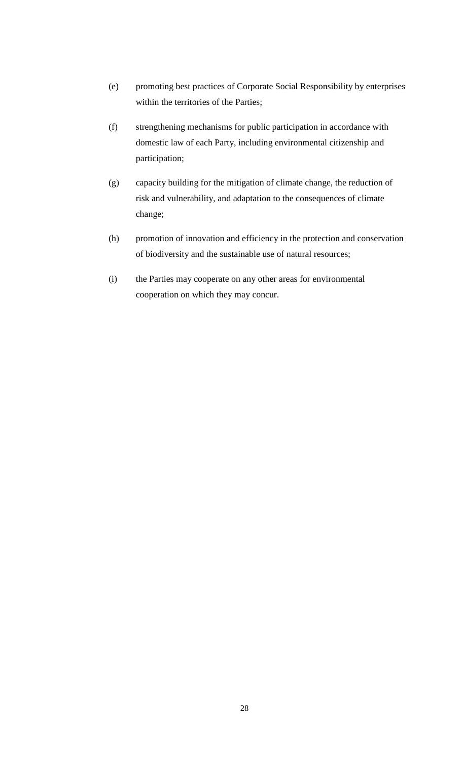- (e) promoting best practices of Corporate Social Responsibility by enterprises within the territories of the Parties;
- (f) strengthening mechanisms for public participation in accordance with domestic law of each Party, including environmental citizenship and participation;
- (g) capacity building for the mitigation of climate change, the reduction of risk and vulnerability, and adaptation to the consequences of climate change;
- (h) promotion of innovation and efficiency in the protection and conservation of biodiversity and the sustainable use of natural resources;
- (i) the Parties may cooperate on any other areas for environmental cooperation on which they may concur.